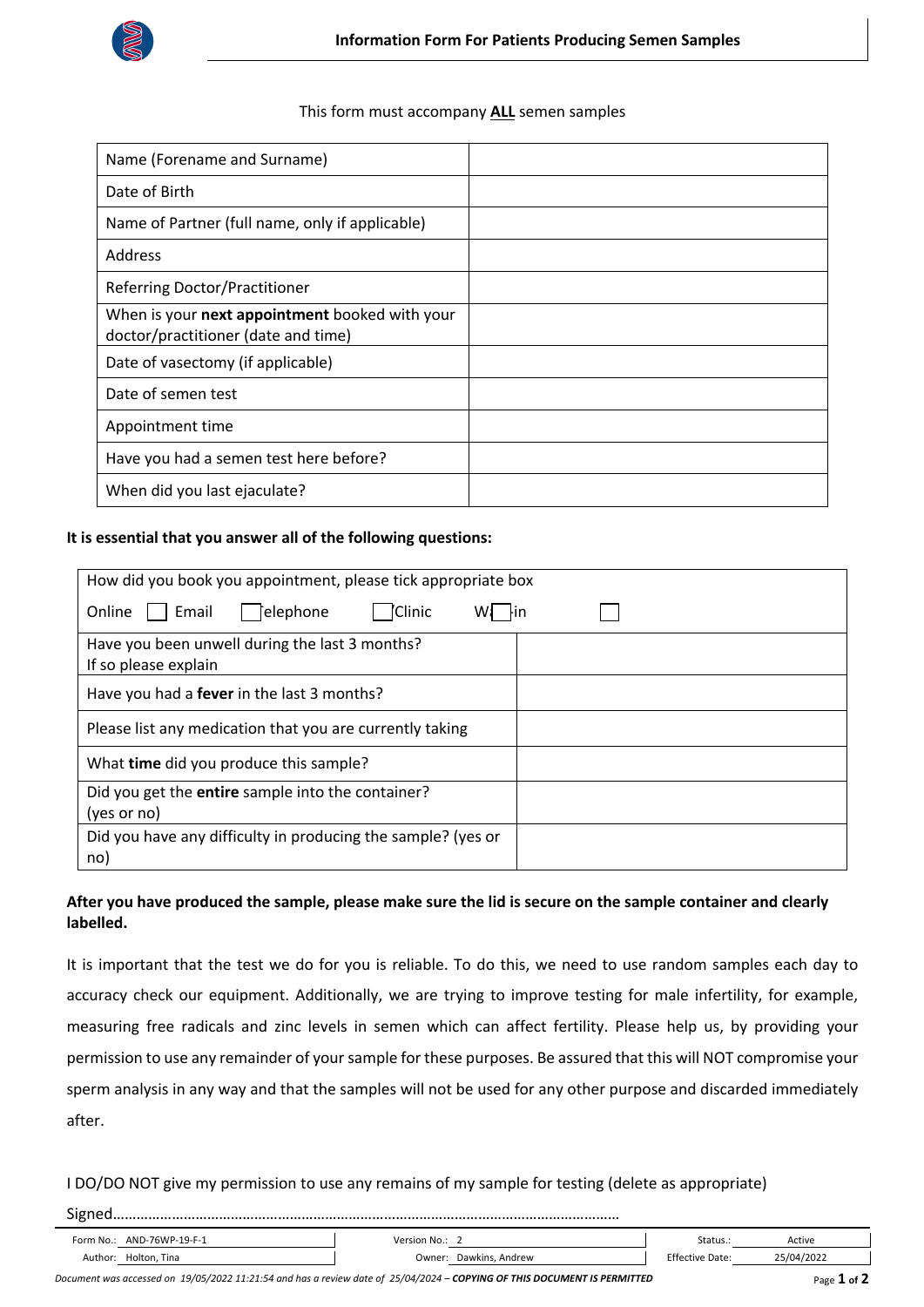

## This form must accompany **ALL** semen samples

| Name (Forename and Surname)                                                           |  |
|---------------------------------------------------------------------------------------|--|
| Date of Birth                                                                         |  |
| Name of Partner (full name, only if applicable)                                       |  |
| <b>Address</b>                                                                        |  |
| Referring Doctor/Practitioner                                                         |  |
| When is your next appointment booked with your<br>doctor/practitioner (date and time) |  |
| Date of vasectomy (if applicable)                                                     |  |
| Date of semen test                                                                    |  |
| Appointment time                                                                      |  |
| Have you had a semen test here before?                                                |  |
| When did you last ejaculate?                                                          |  |

## **It is essential that you answer all of the following questions:**

| How did you book you appointment, please tick appropriate box           |  |  |  |
|-------------------------------------------------------------------------|--|--|--|
| 'Clinic<br><b>Felephone</b><br>Online<br>Email<br>Fin                   |  |  |  |
| Have you been unwell during the last 3 months?<br>If so please explain  |  |  |  |
| Have you had a <b>fever</b> in the last 3 months?                       |  |  |  |
| Please list any medication that you are currently taking                |  |  |  |
| What time did you produce this sample?                                  |  |  |  |
| Did you get the <b>entire</b> sample into the container?<br>(yes or no) |  |  |  |
| Did you have any difficulty in producing the sample? (yes or<br>no)     |  |  |  |

## **After you have produced the sample, please make sure the lid is secure on the sample container and clearly labelled.**

It is important that the test we do for you is reliable. To do this, we need to use random samples each day to accuracy check our equipment. Additionally, we are trying to improve testing for male infertility, for example, measuring free radicals and zinc levels in semen which can affect fertility. Please help us, by providing your permission to use any remainder of your sample for these purposes. Be assured that this will NOT compromise your sperm analysis in any way and that the samples will not be used for any other purpose and discarded immediately after.

I DO/DO NOT give my permission to use any remains of my sample for testing (delete as appropriate)

Signed…………………………………………………………………………………………………………………

| Form No.:           | AND-76WP-19-F-1 | Version No.: |                 | Status.:               | Active     |
|---------------------|-----------------|--------------|-----------------|------------------------|------------|
| Author <sup>.</sup> | Holton, Tina    | Owner:       | Dawkins, Andrew | <b>Effective Date:</b> | 25/04/2022 |

| Document was accessed on 19/05/2022 11:21:54 and has a review date of 25/04/2024 - COPYING OF THIS DOCUMENT IS PERMITTED | Page 1 of 2 |
|--------------------------------------------------------------------------------------------------------------------------|-------------|
|--------------------------------------------------------------------------------------------------------------------------|-------------|